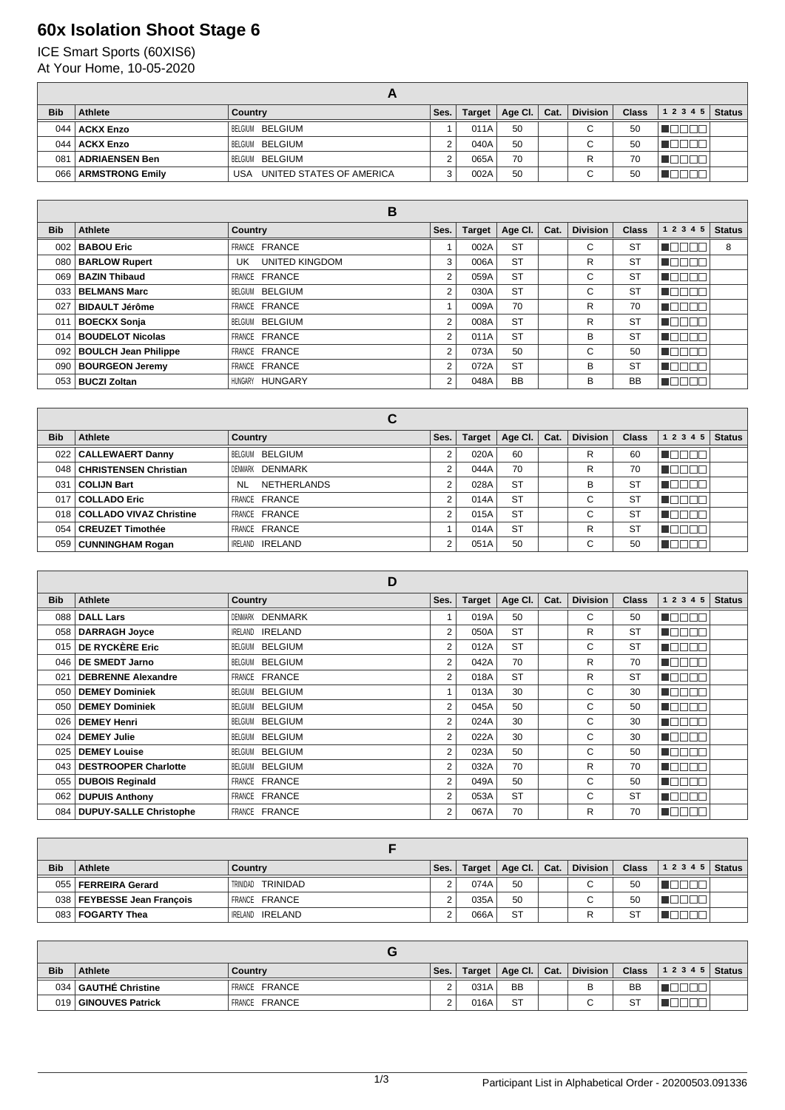## **60x Isolation Shoot Stage 6**

ICE Smart Sports (60XIS6) At Your Home, 10-05-2020

| <b>Bib</b> | <b>Athlete</b>         | Country                         | Ses. | Target | Age Cl. | Cat. | <b>Division</b> | <b>Class</b> | $12345$ Status |  |
|------------|------------------------|---------------------------------|------|--------|---------|------|-----------------|--------------|----------------|--|
|            | 044   ACKX Enzo        | BELGIUM BELGIUM                 |      | 011A   | 50      |      | $\sim$<br>U     | 50           |                |  |
|            | 044   ACKX Enzo        | BELGIUM BELGIUM                 |      | 040A   | 50      |      | $\sim$<br>U     | 50           |                |  |
| 081        | <b>ADRIAENSEN Ben</b>  | BELGIUM BELGIUM                 |      | 065A   | 70      |      | R               | 70           |                |  |
| 066        | <b>ARMSTRONG Emily</b> | UNITED STATES OF AMERICA<br>USA |      | 002A   | 50      |      | ື               | 50           |                |  |

| В          |                             |                              |                |               |           |      |                 |              |           |               |
|------------|-----------------------------|------------------------------|----------------|---------------|-----------|------|-----------------|--------------|-----------|---------------|
| <b>Bib</b> | Athlete                     | <b>Country</b>               | Ses.           | <b>Target</b> | Age Cl.   | Cat. | <b>Division</b> | <b>Class</b> | 1 2 3 4 5 | <b>Status</b> |
| 002        | <b>BABOU Eric</b>           | FRANCE FRANCE                |                | 002A          | <b>ST</b> |      | C               | <b>ST</b>    |           | 8             |
| 080        | <b>BARLOW Rupert</b>        | <b>UNITED KINGDOM</b><br>UK. | 3              | 006A          | <b>ST</b> |      | R               | <b>ST</b>    |           |               |
| 069        | <b>BAZIN Thibaud</b>        | FRANCE FRANCE                | 2              | 059A          | <b>ST</b> |      | C               | <b>ST</b>    |           |               |
| 033        | <b>BELMANS Marc</b>         | BELGIUM BELGIUM              | 2              | 030A          | <b>ST</b> |      | C               | <b>ST</b>    |           |               |
| 027        | <b>BIDAULT Jérôme</b>       | FRANCE FRANCE                |                | 009A          | 70        |      | R               | 70           |           |               |
| 011        | <b>BOECKX Sonja</b>         | BELGIUM BELGIUM              | $\overline{2}$ | 008A          | <b>ST</b> |      | R               | <b>ST</b>    |           |               |
|            | 014   BOUDELOT Nicolas      | FRANCE FRANCE                | 2              | 011A          | <b>ST</b> |      | B               | <b>ST</b>    |           |               |
| 092        | <b>BOULCH Jean Philippe</b> | FRANCE FRANCE                | 2              | 073A          | 50        |      | С               | 50           |           |               |
| 090        | <b>BOURGEON Jeremy</b>      | FRANCE FRANCE                | $\overline{2}$ | 072A          | <b>ST</b> |      | B               | <b>ST</b>    |           |               |
| 053        | <b>BUCZI Zoltan</b>         | HUNGARY<br>HUNGARY           | $\mathfrak{p}$ | 048A          | <b>BB</b> |      | в               | <b>BB</b>    |           |               |

|            |                              | С                               |      |               |           |      |                 |              |                 |               |
|------------|------------------------------|---------------------------------|------|---------------|-----------|------|-----------------|--------------|-----------------|---------------|
| <b>Bib</b> | Athlete                      | Country                         | Ses. | <b>Target</b> | Age CI.   | Cat. | <b>Division</b> | <b>Class</b> | 1 2 3 4 5       | <b>Status</b> |
| 022        | <b>CALLEWAERT Danny</b>      | BELGIUM BELGIUM                 |      | 020A          | 60        |      | R               | 60           |                 |               |
| 048        | <b>CHRISTENSEN Christian</b> | DENMARK DENMARK                 |      | 044A          | 70        |      | R               | 70           |                 |               |
| 031        | <b>COLIJN Bart</b>           | <b>NETHERLANDS</b><br><b>NL</b> |      | 028A          | <b>ST</b> |      | B               | <b>ST</b>    | - 11            |               |
| 017        | <b>COLLADO Eric</b>          | FRANCE FRANCE                   | C    | 014A          | <b>ST</b> |      | $\sim$<br>◡     | <b>ST</b>    | الناليا<br>- 11 |               |
|            | 018 COLLADO VIVAZ Christine  | FRANCE FRANCE                   | ◠    | 015A          | <b>ST</b> |      | $\sim$<br>◡     | -ST          | H               |               |
| 054        | CREUZET Timothée             | FRANCE FRANCE                   |      | 014A          | <b>ST</b> |      | R               | <b>ST</b>    | H               |               |
|            | 059   CUNNINGHAM Rogan       | <b>IRELAND IRELAND</b>          |      | 051A          | 50        |      | ⌒<br>◡          | 50           |                 |               |

|            |                              | D                         |                |               |           |      |                 |              |                   |               |
|------------|------------------------------|---------------------------|----------------|---------------|-----------|------|-----------------|--------------|-------------------|---------------|
| <b>Bib</b> | <b>Athlete</b>               | <b>Country</b>            | Ses.           | <b>Target</b> | Age Cl.   | Cat. | <b>Division</b> | <b>Class</b> | 1 2 3 4 5         | <b>Status</b> |
| 088        | <b>DALL Lars</b>             | DENMARK DENMARK           |                | 019A          | 50        |      | C               | 50           | . INN NA          |               |
| 058        | <b>DARRAGH Joyce</b>         | <b>IRELAND</b><br>IRELAND | $\overline{2}$ | 050A          | <b>ST</b> |      | R               | <b>ST</b>    | NE E E E          |               |
| 015        | DE RYCKÈRE Eric              | BELGIUM BELGIUM           | $\overline{2}$ | 012A          | <b>ST</b> |      | C               | <b>ST</b>    | n n n n n         |               |
| 046        | <b>DE SMEDT Jarno</b>        | BELGIUM BELGIUM           | $\overline{2}$ | 042A          | 70        |      | R               | 70           | NG E E E          |               |
| 021        | <b>DEBRENNE Alexandre</b>    | FRANCE FRANCE             | $\overline{2}$ | 018A          | <b>ST</b> |      | R               | <b>ST</b>    | n mm mm           |               |
| 050        | <b>DEMEY Dominiek</b>        | BELGIUM BELGIUM           |                | 013A          | 30        |      | C               | 30           | N E E E           |               |
| 050        | <b>DEMEY Dominiek</b>        | BELGIUM BELGIUM           | $\overline{2}$ | 045A          | 50        |      | C               | 50           | n Eise e          |               |
| 026        | <b>DEMEY Henri</b>           | BELGIUM BELGIUM           | $\overline{2}$ | 024A          | 30        |      | C               | 30           | n aan a           |               |
| 024        | <b>DEMEY Julie</b>           | BELGIUM BELGIUM           | $\overline{2}$ | 022A          | 30        |      | C               | 30           | na mana           |               |
| 025        | <b>DEMEY Louise</b>          | BELGIUM BELGIUM           | $\overline{2}$ | 023A          | 50        |      | C               | 50           | TANAN             |               |
| 043        | <b>DESTROOPER Charlotte</b>  | BELGIUM BELGIUM           | 2              | 032A          | 70        |      | R               | 70           | <u>in din sin</u> |               |
| 055        | <b>DUBOIS Reginald</b>       | FRANCE FRANCE             | 2              | 049A          | 50        |      | C               | 50           | nn nn n           |               |
| 062        | <b>DUPUIS Anthony</b>        | <b>FRANCE</b><br>FRANCE   | 2              | 053A          | <b>ST</b> |      | C               | <b>ST</b>    | <b>INNATION</b>   |               |
|            | 084   DUPUY-SALLE Christophe | FRANCE FRANCE             | $\overline{2}$ | 067A          | 70        |      | R               | 70           | VUOOO             |               |

| <b>Bib</b> | <b>Athlete</b>               | Country                | Ses. | Target | Age Cl.   Cat. | <b>Division</b> | <b>Class</b> | $12345$ Status |  |
|------------|------------------------------|------------------------|------|--------|----------------|-----------------|--------------|----------------|--|
|            | 055   FERREIRA Gerard        | TRINIDAD TRINIDAD      |      | 074A   | 50             |                 | 50           |                |  |
|            | 038   FEYBESSE Jean François | FRANCE FRANCE          |      | 035A   | 50             |                 | 50           |                |  |
|            | 083   FOGARTY Thea           | <b>IRELAND IRELAND</b> |      | 066A   | <b>ST</b>      |                 | S1           |                |  |

| <b>Bib</b> | <b>Athlete</b>         | Country              | Ses. | Target | Age Cl.   Cat. | <b>Division</b> | <b>Class</b> | $12345$ Status |  |
|------------|------------------------|----------------------|------|--------|----------------|-----------------|--------------|----------------|--|
|            | 034   GAUTHÉ Christine | <b>FRANCE FRANCE</b> |      | 031A   | <b>BB</b>      |                 | BB           |                |  |
| 019        | GINOUVES Patrick       | <b>FRANCE FRANCE</b> |      | 016A   | <b>ST</b>      | $\sim$<br>◡     | <b>ST</b>    |                |  |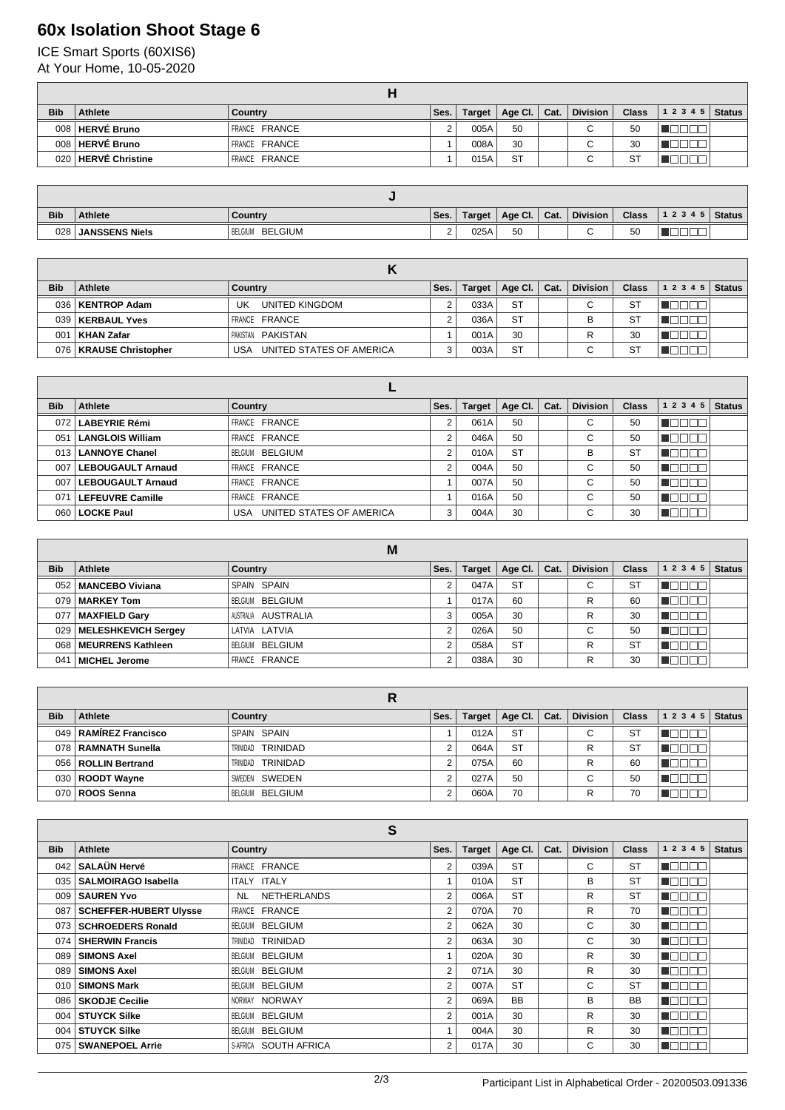## **60x Isolation Shoot Stage 6**

ICE Smart Sports (60XIS6)

| At Your Home, 10-05-2020 |  |
|--------------------------|--|
|                          |  |

| <b>Bib</b> | Athlete               | Country       | Ses. | Target $ $ | Age Cl.   Cat. | <b>Division</b>          | <b>Class</b> | $12345$ Status |  |
|------------|-----------------------|---------------|------|------------|----------------|--------------------------|--------------|----------------|--|
|            | 008 HERVÉ Bruno       | FRANCE FRANCE |      | 005A       | 50             | $\overline{\phantom{0}}$ | 50           |                |  |
|            | 008 HERVÉ Bruno       | FRANCE FRANCE |      | 008A       | 30             | ⌒<br>ີ                   | 30           |                |  |
|            | 020   HERVÉ Christine | FRANCE FRANCE |      | 015A       | <b>ST</b>      | ⌒<br>u                   | ST           |                |  |

| <b>Bib</b>       | <b>Athlete</b>        | Countrv            | Ses.       | Target, | Age Cl. $\vert$ Cat. | Division | <b>Class</b> | 1 2 3 4 5 | <b>Status</b> |
|------------------|-----------------------|--------------------|------------|---------|----------------------|----------|--------------|-----------|---------------|
| 028 <sub>1</sub> | <b>JANSSENS Niels</b> | BELGIUM<br>BELGIUM | $\sqrt{2}$ | 025A    | 50                   |          | 50           |           |               |

| <b>Bib</b> | Athlete                  | Country                         | Ses. | Target | Age Cl. $ $ | Cat. | <b>Division</b> | <b>Class</b> | 1 2 3 4 5 | <b>Status</b> |
|------------|--------------------------|---------------------------------|------|--------|-------------|------|-----------------|--------------|-----------|---------------|
| 036        | <b>KENTROP Adam</b>      | UK<br>UNITED KINGDOM            |      | 033A   | <b>ST</b>   |      | С               | <b>ST</b>    |           |               |
| 039        | KERBAUL Yves             | FRANCE FRANCE                   |      | 036A   | <b>ST</b>   |      | В               | ST           |           |               |
| 001        | KHAN Zafar               | PAKISTAN PAKISTAN               |      | 001A   | 30          |      |                 | 30           |           |               |
|            | 076   KRAUSE Christopher | UNITED STATES OF AMERICA<br>USA |      | 003A   | <b>ST</b>   |      | С               | <b>ST</b>    |           |               |

| <b>Bib</b>   | Athlete                  | Country                         | Ses. | Target | Age CI.   | Cat. | <b>Division</b> | <b>Class</b> | <b>Status</b><br>1 2 3 4 5 |
|--------------|--------------------------|---------------------------------|------|--------|-----------|------|-----------------|--------------|----------------------------|
| 072          | LABEYRIE Rémi            | FRANCE FRANCE                   |      | 061A   | 50        |      | C               | 50           |                            |
| $05^{\circ}$ | <b>LANGLOIS William</b>  | FRANCE FRANCE                   | 2    | 046A   | 50        |      | С               | 50           |                            |
| 013          | <b>LANNOYE Chanel</b>    | BELGIUM BELGIUM                 | 2    | 010A   | <b>ST</b> |      | В               | <b>ST</b>    | VOOL<br>┓                  |
| 007          | <b>LEBOUGAULT Arnaud</b> | FRANCE FRANCE                   | 2    | 004A   | 50        |      | С               | 50           | TOOL<br>- 11               |
| 007          | <b>LEBOUGAULT Arnaud</b> | FRANCE FRANCE                   |      | 007A   | 50        |      | С               | 50           | TO OI<br>┓                 |
| 071          | <b>LEFEUVRE Camille</b>  | FRANCE FRANCE                   |      | 016A   | 50        |      | С               | 50           | TOOI                       |
| 060          | <b>LOCKE Paul</b>        | UNITED STATES OF AMERICA<br>USA |      | 004A   | 30        |      | С               | 30           |                            |

|            |                           | M                   |      |        |             |      |                 |              |           |               |
|------------|---------------------------|---------------------|------|--------|-------------|------|-----------------|--------------|-----------|---------------|
| <b>Bib</b> | Athlete                   | Country             | Ses. | Target | Age Cl. $ $ | Cat. | <b>Division</b> | <b>Class</b> | 1 2 3 4 5 | <b>Status</b> |
|            | 052   MANCEBO Viviana     | SPAIN SPAIN         |      | 047A   | <b>ST</b>   |      | $\sim$<br>U     | <b>ST</b>    |           |               |
|            | 079   MARKEY Tom          | BELGIUM BELGIUM     |      | 017A   | 60          |      | R               | 60           |           |               |
| 077        | MAXFIELD Gary             | AUSTRALIA AUSTRALIA | 3    | 005A   | 30          |      | R               | 30           |           |               |
|            | 029   MELESHKEVICH Sergey | LATVIA LATVIA       | ີ    | 026A   | 50          |      | С               | 50           |           |               |
|            | 068   MEURRENS Kathleen   | BELGIUM BELGIUM     |      | 058A   | <b>ST</b>   |      | R               | <b>ST</b>    | - 11 - 11 |               |
| 041        | ∣ MICHEL Jerome           | FRANCE FRANCE       |      | 038A   | 30          |      | R               | 30           |           |               |

| <b>Bib</b> | Athlete                 | Country              | Ses. | <b>Target</b> | Age Cl. $ $ | Cat. | <b>Division</b> | <b>Class</b> | 12345 | <b>Status</b> |  |  |
|------------|-------------------------|----------------------|------|---------------|-------------|------|-----------------|--------------|-------|---------------|--|--|
|            | 049   RAMIREZ Francisco | SPAIN SPAIN          |      | 012A          | <b>ST</b>   |      | $\sim$<br>U     | ST           |       |               |  |  |
|            | 078 RAMNATH Sunella     | TRINIDAD<br>TRINIDAD |      | 064A          | <b>ST</b>   |      | R               | S1           |       |               |  |  |
|            | 056   ROLLIN Bertrand   | TRINIDAD<br>TRINIDAD |      | 075A          | 60          |      | R               | 60           |       |               |  |  |
|            | 030   ROODT Wayne       | SWEDEN SWEDEN        |      | 027A          | 50          |      | $\sim$<br>U     | 50           |       |               |  |  |
|            | 070   ROOS Senna        | BELGIUM BELGIUM      | c    | 060A          | 70          |      | R               | 70           |       |               |  |  |

| S                |                               |                             |                |               |           |      |                 |              |                           |               |  |
|------------------|-------------------------------|-----------------------------|----------------|---------------|-----------|------|-----------------|--------------|---------------------------|---------------|--|
| <b>Bib</b>       | <b>Athlete</b>                | <b>Country</b>              | Ses.           | <b>Target</b> | Age Cl.   | Cat. | <b>Division</b> | <b>Class</b> | 1 2 3 4 5                 | <b>Status</b> |  |
| 042              | <b>SALAUN Hervé</b>           | FRANCE FRANCE               | 2              | 039A          | <b>ST</b> |      | С               | <b>ST</b>    | HOOO                      |               |  |
| 035              | <b>SALMOIRAGO Isabella</b>    | ITALY ITALY                 | 1              | 010A          | <b>ST</b> |      | В               | <b>ST</b>    | TELET                     |               |  |
| 009              | <b>SAUREN Yvo</b>             | <b>NETHERLANDS</b><br>NL.   | 2              | 006A          | <b>ST</b> |      | R               | <b>ST</b>    | N E E E E                 |               |  |
| 087              | <b>SCHEFFER-HUBERT Ulysse</b> | FRANCE FRANCE               | 2              | 070A          | 70        |      | R               | 70           | TOOOO                     |               |  |
| 073              | <b>SCHROEDERS Ronald</b>      | BELGIUM BELGIUM             | $\overline{2}$ | 062A          | 30        |      | C               | 30           | TOOOO                     |               |  |
| 074              | <b>SHERWIN Francis</b>        | <b>TRINIDAD</b><br>TRINIDAD | $\overline{2}$ | 063A          | 30        |      | C               | 30           | - III - II                |               |  |
| 089              | <b>SIMONS Axel</b>            | BELGIUM BELGIUM             |                | 020A          | 30        |      | R               | 30           | N D B B B                 |               |  |
| 089              | <b>SIMONS Axel</b>            | BELGIUM BELGIUM             | 2              | 071A          | 30        |      | R               | 30           | N E E E E                 |               |  |
| 010 <sub>1</sub> | <b>SIMONS Mark</b>            | BELGIUM BELGIUM             | $\overline{2}$ | 007A          | <b>ST</b> |      | C               | <b>ST</b>    | $\Box\Box$<br><b>INDI</b> |               |  |
|                  | 086   SKODJE Cecilie          | NORWAY NORWAY               | 2              | 069A          | <b>BB</b> |      | B               | <b>BB</b>    | TEEEE                     |               |  |
| 004              | <b>STUYCK Silke</b>           | BELGIUM BELGIUM             | $\overline{2}$ | 001A          | 30        |      | R               | 30           | TOEEA                     |               |  |
| 004              | <b>STUYCK Silke</b>           | BELGIUM BELGIUM             |                | 004A          | 30        |      | R               | 30           | TOOOO                     |               |  |
| 075              | <b>SWANEPOEL Arrie</b>        | SOUTH AFRICA<br>S-AFRICA    | $\overline{2}$ | 017A          | 30        |      | C               | 30           |                           |               |  |